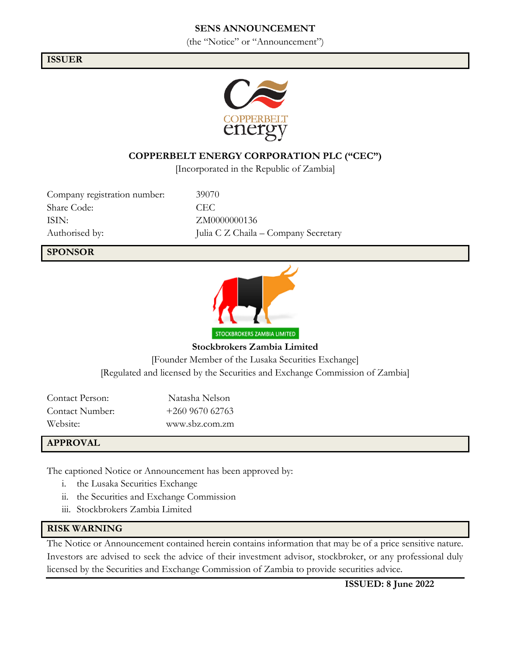## **SENS ANNOUNCEMENT**

(the "Notice" or "Announcement")

#### **ISSUER**



## **COPPERBELT ENERGY CORPORATION PLC ("CEC")**

[Incorporated in the Republic of Zambia]

Company registration number: 39070 Share Code: CEC ISIN: ZM0000000136

Authorised by: Julia C Z Chaila – Company Secretary

#### **SPONSOR**



**Stockbrokers Zambia Limited** [Founder Member of the Lusaka Securities Exchange] [Regulated and licensed by the Securities and Exchange Commission of Zambia]

Contact Person: Natasha Nelson Contact Number: +260 9670 62763 Website: www.sbz.com.zm

#### **APPROVAL**

The captioned Notice or Announcement has been approved by:

- i. the Lusaka Securities Exchange
- ii. the Securities and Exchange Commission
- iii. Stockbrokers Zambia Limited

#### **RISK WARNING**

The Notice or Announcement contained herein contains information that may be of a price sensitive nature. Investors are advised to seek the advice of their investment advisor, stockbroker, or any professional duly licensed by the Securities and Exchange Commission of Zambia to provide securities advice.

**ISSUED: 8 June 2022**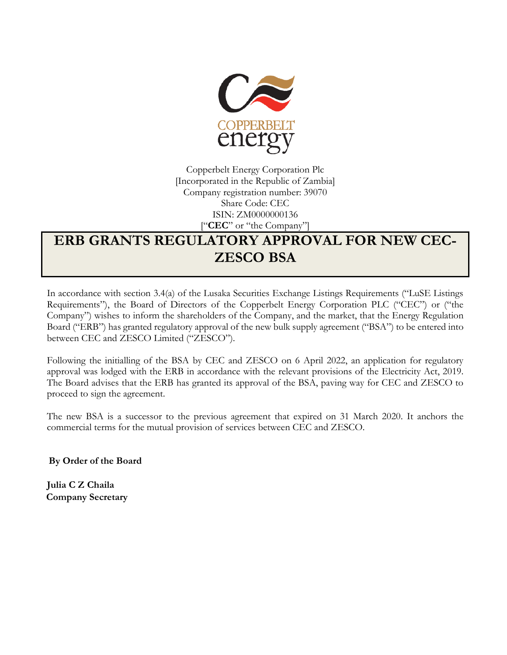

Copperbelt Energy Corporation Plc [Incorporated in the Republic of Zambia] Company registration number: 39070 Share Code: CEC ISIN: ZM0000000136 ["**CEC**" or "the Company"]

# **ERB GRANTS REGULATORY APPROVAL FOR NEW CEC-ZESCO BSA**

In accordance with section 3.4(a) of the Lusaka Securities Exchange Listings Requirements ("LuSE Listings Requirements"), the Board of Directors of the Copperbelt Energy Corporation PLC ("CEC") or ("the Company") wishes to inform the shareholders of the Company, and the market, that the Energy Regulation Board ("ERB") has granted regulatory approval of the new bulk supply agreement ("BSA") to be entered into between CEC and ZESCO Limited ("ZESCO").

Following the initialling of the BSA by CEC and ZESCO on 6 April 2022, an application for regulatory approval was lodged with the ERB in accordance with the relevant provisions of the Electricity Act, 2019. The Board advises that the ERB has granted its approval of the BSA, paving way for CEC and ZESCO to proceed to sign the agreement.

The new BSA is a successor to the previous agreement that expired on 31 March 2020. It anchors the commercial terms for the mutual provision of services between CEC and ZESCO.

**By Order of the Board**

**Julia C Z Chaila Company Secretary**